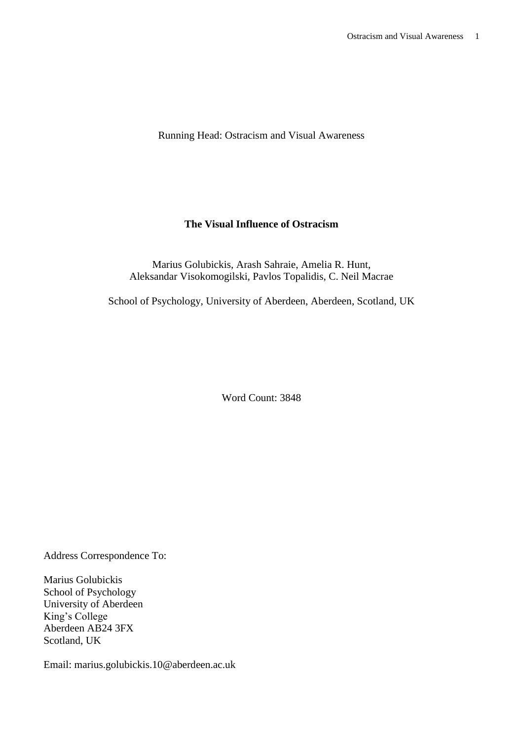Running Head: Ostracism and Visual Awareness

# **The Visual Influence of Ostracism**

Marius Golubickis, Arash Sahraie, Amelia R. Hunt, Aleksandar Visokomogilski, Pavlos Topalidis, C. Neil Macrae

School of Psychology, University of Aberdeen, Aberdeen, Scotland, UK

Word Count: 3848

Address Correspondence To:

Marius Golubickis School of Psychology University of Aberdeen King's College Aberdeen AB24 3FX Scotland, UK

Email: marius.golubickis.10@aberdeen.ac.uk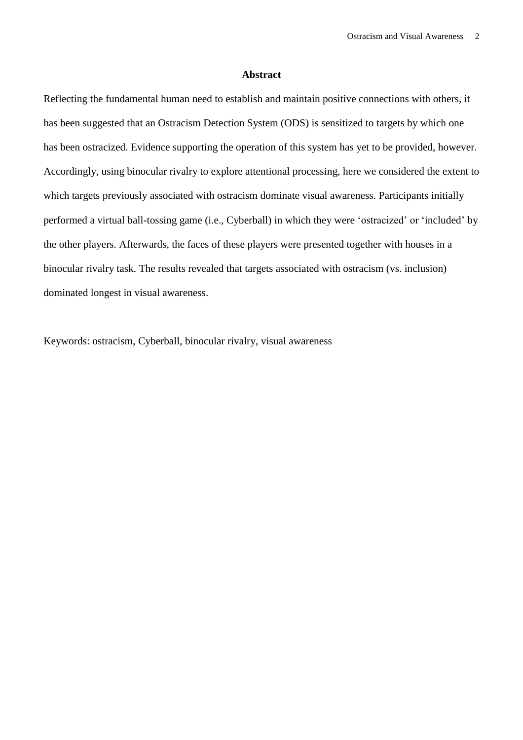### **Abstract**

Reflecting the fundamental human need to establish and maintain positive connections with others, it has been suggested that an Ostracism Detection System (ODS) is sensitized to targets by which one has been ostracized. Evidence supporting the operation of this system has yet to be provided, however. Accordingly, using binocular rivalry to explore attentional processing, here we considered the extent to which targets previously associated with ostracism dominate visual awareness. Participants initially performed a virtual ball-tossing game (i.e., Cyberball) in which they were 'ostracized' or 'included' by the other players. Afterwards, the faces of these players were presented together with houses in a binocular rivalry task. The results revealed that targets associated with ostracism (vs. inclusion) dominated longest in visual awareness.

Keywords: ostracism, Cyberball, binocular rivalry, visual awareness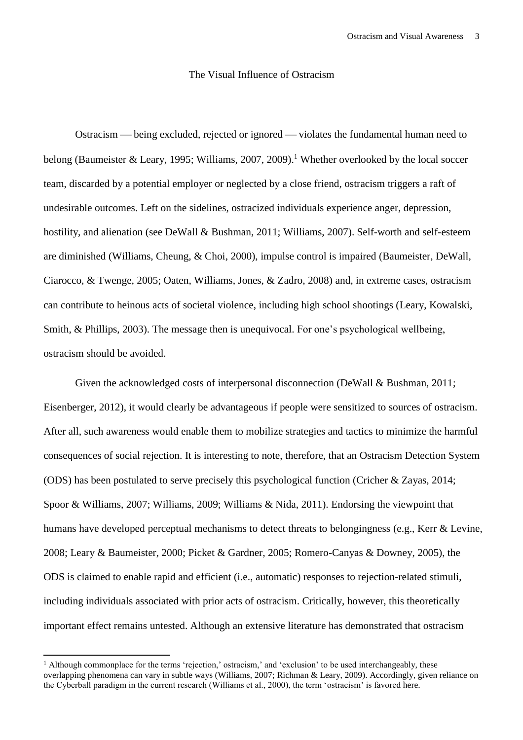# The Visual Influence of Ostracism

Ostracism — being excluded, rejected or ignored — violates the fundamental human need to belong (Baumeister & Leary, 1995; Williams, 2007, 2009).<sup>1</sup> Whether overlooked by the local soccer team, discarded by a potential employer or neglected by a close friend, ostracism triggers a raft of undesirable outcomes. Left on the sidelines, ostracized individuals experience anger, depression, hostility, and alienation (see DeWall & Bushman, 2011; Williams, 2007). Self-worth and self-esteem are diminished (Williams, Cheung, & Choi, 2000), impulse control is impaired (Baumeister, DeWall, Ciarocco, & Twenge, 2005; Oaten, Williams, Jones, & Zadro, 2008) and, in extreme cases, ostracism can contribute to heinous acts of societal violence, including high school shootings (Leary, Kowalski, Smith, & Phillips, 2003). The message then is unequivocal. For one's psychological wellbeing, ostracism should be avoided.

Given the acknowledged costs of interpersonal disconnection (DeWall & Bushman, 2011; Eisenberger, 2012), it would clearly be advantageous if people were sensitized to sources of ostracism. After all, such awareness would enable them to mobilize strategies and tactics to minimize the harmful consequences of social rejection. It is interesting to note, therefore, that an Ostracism Detection System (ODS) has been postulated to serve precisely this psychological function (Cricher & Zayas, 2014; Spoor & Williams, 2007; Williams, 2009; Williams & Nida, 2011). Endorsing the viewpoint that humans have developed perceptual mechanisms to detect threats to belongingness (e.g., Kerr & Levine, 2008; Leary & Baumeister, 2000; Picket & Gardner, 2005; Romero-Canyas & Downey, 2005), the ODS is claimed to enable rapid and efficient (i.e., automatic) responses to rejection-related stimuli, including individuals associated with prior acts of ostracism. Critically, however, this theoretically important effect remains untested. Although an extensive literature has demonstrated that ostracism

<sup>&</sup>lt;sup>1</sup> Although commonplace for the terms 'rejection,' ostracism,' and 'exclusion' to be used interchangeably, these overlapping phenomena can vary in subtle ways (Williams, 2007; Richman & Leary, 2009). Accordingly, given reliance on the Cyberball paradigm in the current research (Williams et al., 2000), the term 'ostracism' is favored here.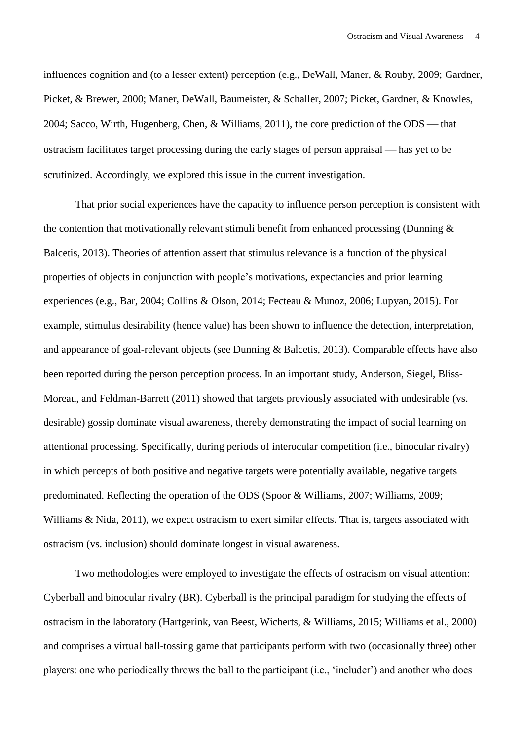influences cognition and (to a lesser extent) perception (e.g., DeWall, Maner, & Rouby, 2009; Gardner, Picket, & Brewer, 2000; Maner, DeWall, Baumeister, & Schaller, 2007; Picket, Gardner, & Knowles, 2004; Sacco, Wirth, Hugenberg, Chen, & Williams, 2011), the core prediction of the ODS — that ostracism facilitates target processing during the early stages of person appraisal — has yet to be scrutinized. Accordingly, we explored this issue in the current investigation.

That prior social experiences have the capacity to influence person perception is consistent with the contention that motivationally relevant stimuli benefit from enhanced processing (Dunning  $\&$ Balcetis, 2013). Theories of attention assert that stimulus relevance is a function of the physical properties of objects in conjunction with people's motivations, expectancies and prior learning experiences (e.g., Bar, 2004; Collins & Olson, 2014; Fecteau & Munoz, 2006; Lupyan, 2015). For example, stimulus desirability (hence value) has been shown to influence the detection, interpretation, and appearance of goal-relevant objects (see Dunning & Balcetis, 2013). Comparable effects have also been reported during the person perception process. In an important study, Anderson, Siegel, Bliss-Moreau, and Feldman-Barrett (2011) showed that targets previously associated with undesirable (vs. desirable) gossip dominate visual awareness, thereby demonstrating the impact of social learning on attentional processing. Specifically, during periods of interocular competition (i.e., binocular rivalry) in which percepts of both positive and negative targets were potentially available, negative targets predominated. Reflecting the operation of the ODS (Spoor & Williams, 2007; Williams, 2009; Williams & Nida, 2011), we expect ostracism to exert similar effects. That is, targets associated with ostracism (vs. inclusion) should dominate longest in visual awareness.

Two methodologies were employed to investigate the effects of ostracism on visual attention: Cyberball and binocular rivalry (BR). Cyberball is the principal paradigm for studying the effects of ostracism in the laboratory (Hartgerink, van Beest, Wicherts, & Williams, 2015; Williams et al., 2000) and comprises a virtual ball-tossing game that participants perform with two (occasionally three) other players: one who periodically throws the ball to the participant (i.e., 'includer') and another who does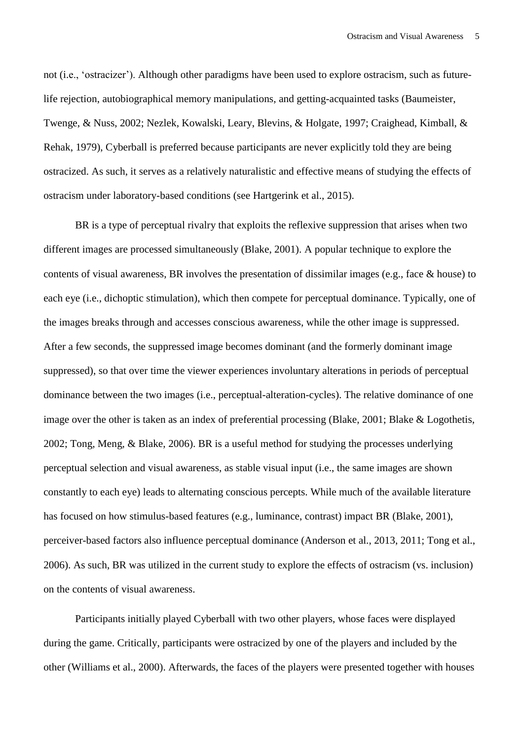not (i.e., 'ostracizer'). Although other paradigms have been used to explore ostracism, such as futurelife rejection, autobiographical memory manipulations, and getting-acquainted tasks (Baumeister, Twenge, & Nuss, 2002; Nezlek, Kowalski, Leary, Blevins, & Holgate, 1997; Craighead, Kimball, & Rehak, 1979), Cyberball is preferred because participants are never explicitly told they are being ostracized. As such, it serves as a relatively naturalistic and effective means of studying the effects of ostracism under laboratory-based conditions (see Hartgerink et al., 2015).

BR is a type of perceptual rivalry that exploits the reflexive suppression that arises when two different images are processed simultaneously (Blake, 2001). A popular technique to explore the contents of visual awareness, BR involves the presentation of dissimilar images (e.g., face & house) to each eye (i.e., dichoptic stimulation), which then compete for perceptual dominance. Typically, one of the images breaks through and accesses conscious awareness, while the other image is suppressed. After a few seconds, the suppressed image becomes dominant (and the formerly dominant image suppressed), so that over time the viewer experiences involuntary alterations in periods of perceptual dominance between the two images (i.e., perceptual-alteration-cycles). The relative dominance of one image over the other is taken as an index of preferential processing (Blake, 2001; Blake & Logothetis, 2002; Tong, Meng, & Blake, 2006). BR is a useful method for studying the processes underlying perceptual selection and visual awareness, as stable visual input (i.e., the same images are shown constantly to each eye) leads to alternating conscious percepts. While much of the available literature has focused on how stimulus-based features (e.g., luminance, contrast) impact BR (Blake, 2001), perceiver-based factors also influence perceptual dominance (Anderson et al., 2013, 2011; Tong et al., 2006). As such, BR was utilized in the current study to explore the effects of ostracism (vs. inclusion) on the contents of visual awareness.

Participants initially played Cyberball with two other players, whose faces were displayed during the game. Critically, participants were ostracized by one of the players and included by the other (Williams et al., 2000). Afterwards, the faces of the players were presented together with houses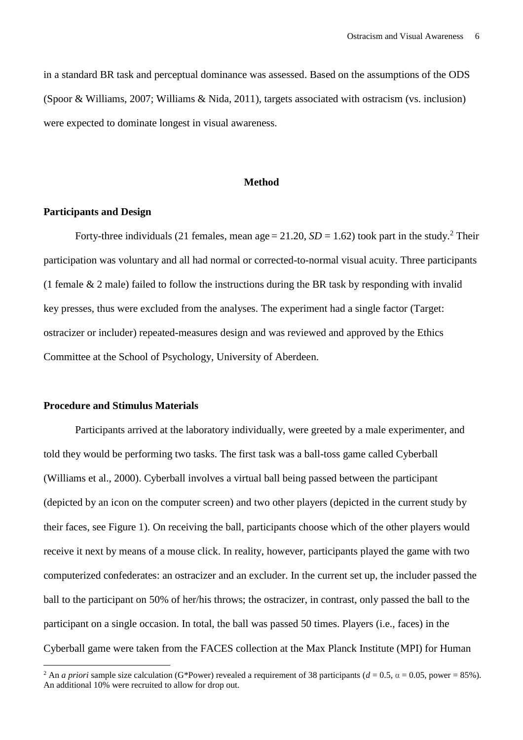in a standard BR task and perceptual dominance was assessed. Based on the assumptions of the ODS (Spoor & Williams, 2007; Williams & Nida, 2011), targets associated with ostracism (vs. inclusion) were expected to dominate longest in visual awareness.

# **Method**

### **Participants and Design**

Forty-three individuals (21 females, mean age  $= 21.20$ ,  $SD = 1.62$ ) took part in the study.<sup>2</sup> Their participation was voluntary and all had normal or corrected-to-normal visual acuity. Three participants (1 female & 2 male) failed to follow the instructions during the BR task by responding with invalid key presses, thus were excluded from the analyses. The experiment had a single factor (Target: ostracizer or includer) repeated-measures design and was reviewed and approved by the Ethics Committee at the School of Psychology, University of Aberdeen.

### **Procedure and Stimulus Materials**

 $\overline{\phantom{a}}$ 

Participants arrived at the laboratory individually, were greeted by a male experimenter, and told they would be performing two tasks. The first task was a ball-toss game called Cyberball (Williams et al., 2000). Cyberball involves a virtual ball being passed between the participant (depicted by an icon on the computer screen) and two other players (depicted in the current study by their faces, see Figure 1). On receiving the ball, participants choose which of the other players would receive it next by means of a mouse click. In reality, however, participants played the game with two computerized confederates: an ostracizer and an excluder. In the current set up, the includer passed the ball to the participant on 50% of her/his throws; the ostracizer, in contrast, only passed the ball to the participant on a single occasion. In total, the ball was passed 50 times. Players (i.e., faces) in the Cyberball game were taken from the FACES collection at the Max Planck Institute (MPI) for Human

<sup>&</sup>lt;sup>2</sup> An *a priori* sample size calculation (G\*Power) revealed a requirement of 38 participants ( $d = 0.5$ ,  $\alpha = 0.05$ , power = 85%). An additional 10% were recruited to allow for drop out.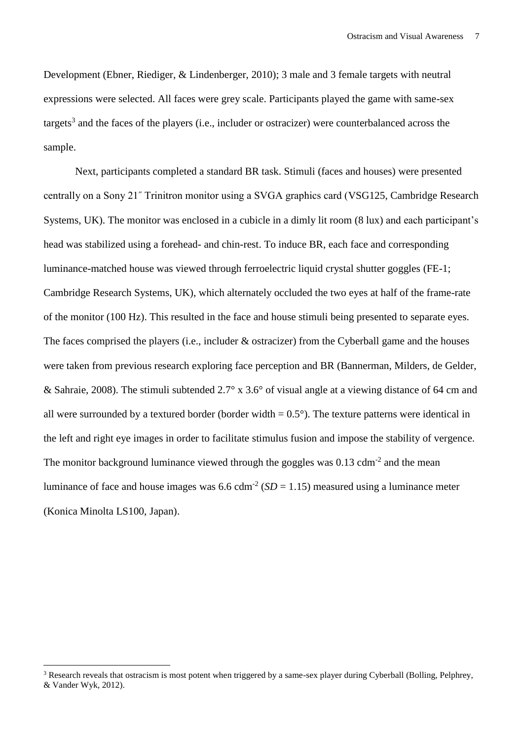Development (Ebner, Riediger, & Lindenberger, 2010); 3 male and 3 female targets with neutral expressions were selected. All faces were grey scale. Participants played the game with same-sex targets<sup>3</sup> and the faces of the players (i.e., includer or ostracizer) were counterbalanced across the sample.

Next, participants completed a standard BR task. Stimuli (faces and houses) were presented centrally on a Sony 21˝ Trinitron monitor using a SVGA graphics card (VSG125, Cambridge Research Systems, UK). The monitor was enclosed in a cubicle in a dimly lit room (8 lux) and each participant's head was stabilized using a forehead- and chin-rest. To induce BR, each face and corresponding luminance-matched house was viewed through ferroelectric liquid crystal shutter goggles (FE-1; Cambridge Research Systems, UK), which alternately occluded the two eyes at half of the frame-rate of the monitor (100 Hz). This resulted in the face and house stimuli being presented to separate eyes. The faces comprised the players (i.e., includer & ostracizer) from the Cyberball game and the houses were taken from previous research exploring face perception and BR (Bannerman, Milders, de Gelder, & Sahraie, 2008). The stimuli subtended 2.7° x 3.6° of visual angle at a viewing distance of 64 cm and all were surrounded by a textured border (border width  $= 0.5^{\circ}$ ). The texture patterns were identical in the left and right eye images in order to facilitate stimulus fusion and impose the stability of vergence. The monitor background luminance viewed through the goggles was  $0.13$  cdm<sup>-2</sup> and the mean luminance of face and house images was  $6.6$  cdm<sup>-2</sup> ( $SD = 1.15$ ) measured using a luminance meter (Konica Minolta LS100, Japan).

 $\overline{\phantom{a}}$ 

<sup>&</sup>lt;sup>3</sup> Research reveals that ostracism is most potent when triggered by a same-sex player during Cyberball (Bolling, Pelphrey, & Vander Wyk, 2012).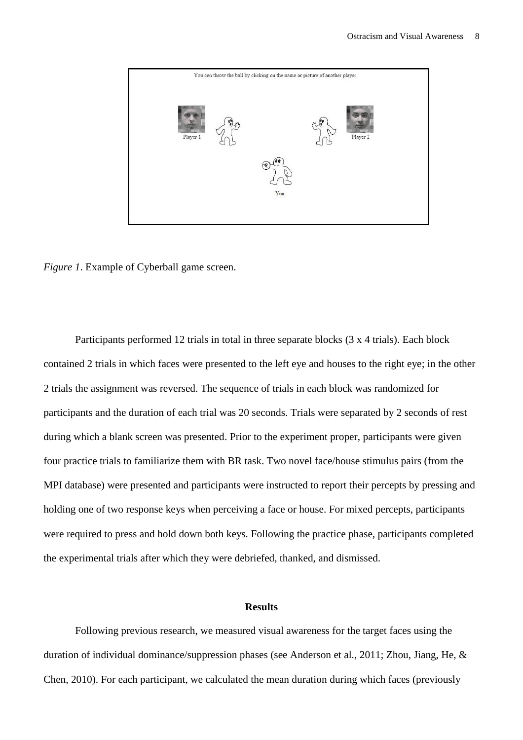

*Figure 1*. Example of Cyberball game screen.

Participants performed 12 trials in total in three separate blocks (3 x 4 trials). Each block contained 2 trials in which faces were presented to the left eye and houses to the right eye; in the other 2 trials the assignment was reversed. The sequence of trials in each block was randomized for participants and the duration of each trial was 20 seconds. Trials were separated by 2 seconds of rest during which a blank screen was presented. Prior to the experiment proper, participants were given four practice trials to familiarize them with BR task. Two novel face/house stimulus pairs (from the MPI database) were presented and participants were instructed to report their percepts by pressing and holding one of two response keys when perceiving a face or house. For mixed percepts, participants were required to press and hold down both keys. Following the practice phase, participants completed the experimental trials after which they were debriefed, thanked, and dismissed.

#### **Results**

Following previous research, we measured visual awareness for the target faces using the duration of individual dominance/suppression phases (see Anderson et al., 2011; Zhou, Jiang, He, & Chen, 2010). For each participant, we calculated the mean duration during which faces (previously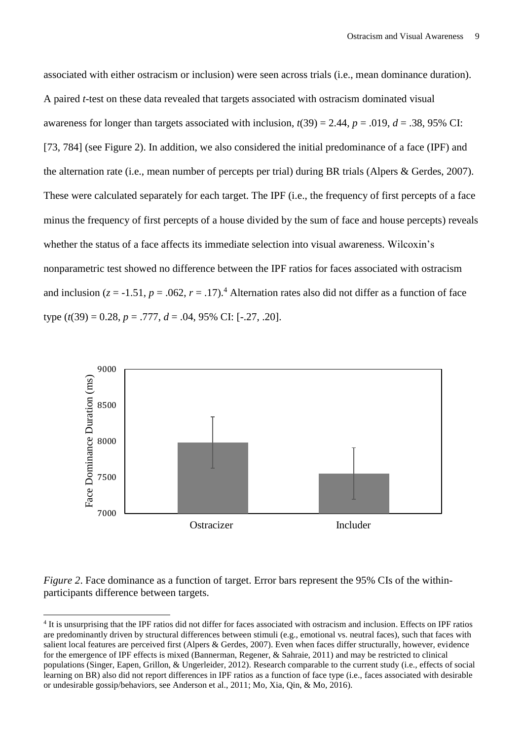associated with either ostracism or inclusion) were seen across trials (i.e., mean dominance duration). A paired *t*-test on these data revealed that targets associated with ostracism dominated visual awareness for longer than targets associated with inclusion,  $t(39) = 2.44$ ,  $p = .019$ ,  $d = .38$ , 95% CI: [73, 784] (see Figure 2). In addition, we also considered the initial predominance of a face (IPF) and the alternation rate (i.e., mean number of percepts per trial) during BR trials (Alpers & Gerdes, 2007). These were calculated separately for each target. The IPF (i.e., the frequency of first percepts of a face minus the frequency of first percepts of a house divided by the sum of face and house percepts) reveals whether the status of a face affects its immediate selection into visual awareness. Wilcoxin's nonparametric test showed no difference between the IPF ratios for faces associated with ostracism and inclusion ( $z = -1.51$ ,  $p = .062$ ,  $r = .17$ ).<sup>4</sup> Alternation rates also did not differ as a function of face type  $(t(39) = 0.28, p = .777, d = .04, 95\% \text{ CI: } [-.27, .20].$ 



*Figure 2*. Face dominance as a function of target. Error bars represent the 95% CIs of the withinparticipants difference between targets.

 $\overline{\phantom{a}}$ 

<sup>4</sup> It is unsurprising that the IPF ratios did not differ for faces associated with ostracism and inclusion. Effects on IPF ratios are predominantly driven by structural differences between stimuli (e.g., emotional vs. neutral faces), such that faces with salient local features are perceived first (Alpers & Gerdes, 2007). Even when faces differ structurally, however, evidence for the emergence of IPF effects is mixed (Bannerman, Regener, & Sahraie, 2011) and may be restricted to clinical populations (Singer, Eapen, Grillon, & Ungerleider, 2012). Research comparable to the current study (i.e., effects of social learning on BR) also did not report differences in IPF ratios as a function of face type (i.e., faces associated with desirable or undesirable gossip/behaviors, see Anderson et al., 2011; Mo, Xia, Qin, & Mo, 2016).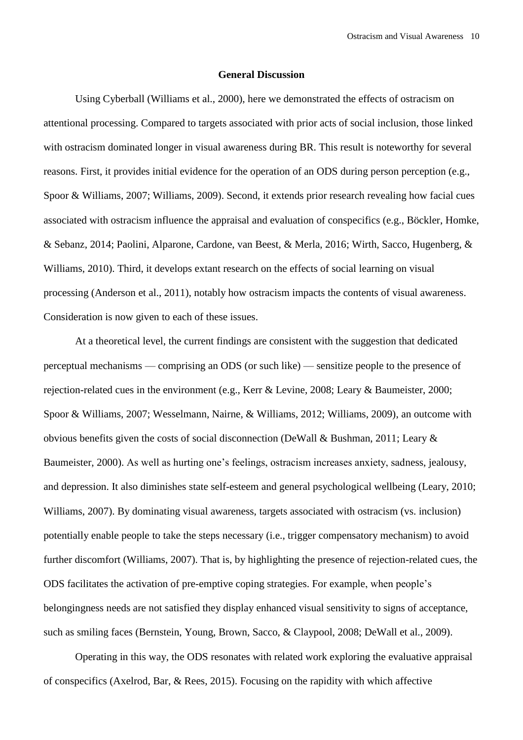#### **General Discussion**

Using Cyberball (Williams et al., 2000), here we demonstrated the effects of ostracism on attentional processing. Compared to targets associated with prior acts of social inclusion, those linked with ostracism dominated longer in visual awareness during BR. This result is noteworthy for several reasons. First, it provides initial evidence for the operation of an ODS during person perception (e.g., Spoor & Williams, 2007; Williams, 2009). Second, it extends prior research revealing how facial cues associated with ostracism influence the appraisal and evaluation of conspecifics (e.g., Böckler, Homke, & Sebanz, 2014; Paolini, Alparone, Cardone, van Beest, & Merla, 2016; Wirth, Sacco, Hugenberg, & Williams, 2010). Third, it develops extant research on the effects of social learning on visual processing (Anderson et al., 2011), notably how ostracism impacts the contents of visual awareness. Consideration is now given to each of these issues.

At a theoretical level, the current findings are consistent with the suggestion that dedicated perceptual mechanisms — comprising an ODS (or such like) — sensitize people to the presence of rejection-related cues in the environment (e.g., Kerr & Levine, 2008; Leary & Baumeister, 2000; Spoor & Williams, 2007; Wesselmann, Nairne, & Williams, 2012; Williams, 2009), an outcome with obvious benefits given the costs of social disconnection (DeWall & Bushman, 2011; Leary  $\&$ Baumeister, 2000). As well as hurting one's feelings, ostracism increases anxiety, sadness, jealousy, and depression. It also diminishes state self-esteem and general psychological wellbeing (Leary, 2010; Williams, 2007). By dominating visual awareness, targets associated with ostracism (vs. inclusion) potentially enable people to take the steps necessary (i.e., trigger compensatory mechanism) to avoid further discomfort (Williams, 2007). That is, by highlighting the presence of rejection-related cues, the ODS facilitates the activation of pre-emptive coping strategies. For example, when people's belongingness needs are not satisfied they display enhanced visual sensitivity to signs of acceptance, such as smiling faces (Bernstein, Young, Brown, Sacco, & Claypool, 2008; DeWall et al., 2009).

Operating in this way, the ODS resonates with related work exploring the evaluative appraisal of conspecifics (Axelrod, Bar, & Rees, 2015). Focusing on the rapidity with which affective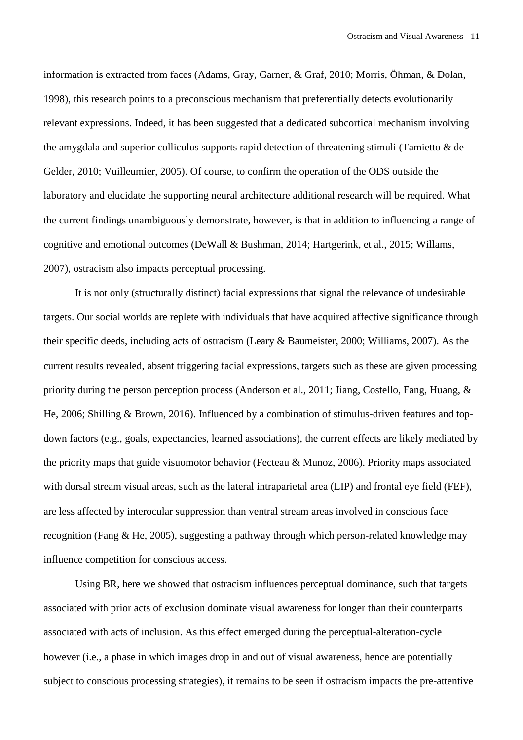information is extracted from faces (Adams, Gray, Garner, & Graf, 2010; Morris, Öhman, & Dolan, 1998), this research points to a preconscious mechanism that preferentially detects evolutionarily relevant expressions. Indeed, it has been suggested that a dedicated subcortical mechanism involving the amygdala and superior colliculus supports rapid detection of threatening stimuli (Tamietto & de Gelder, 2010; Vuilleumier, 2005). Of course, to confirm the operation of the ODS outside the laboratory and elucidate the supporting neural architecture additional research will be required. What the current findings unambiguously demonstrate, however, is that in addition to influencing a range of cognitive and emotional outcomes (DeWall & Bushman, 2014; Hartgerink, et al., 2015; Willams, 2007), ostracism also impacts perceptual processing.

It is not only (structurally distinct) facial expressions that signal the relevance of undesirable targets. Our social worlds are replete with individuals that have acquired affective significance through their specific deeds, including acts of ostracism (Leary & Baumeister, 2000; Williams, 2007). As the current results revealed, absent triggering facial expressions, targets such as these are given processing priority during the person perception process (Anderson et al., 2011; Jiang, Costello, Fang, Huang, & He, 2006; Shilling & Brown, 2016). Influenced by a combination of stimulus-driven features and topdown factors (e.g., goals, expectancies, learned associations), the current effects are likely mediated by the priority maps that guide visuomotor behavior (Fecteau & Munoz, 2006). Priority maps associated with dorsal stream visual areas, such as the lateral intraparietal area (LIP) and frontal eye field (FEF), are less affected by interocular suppression than ventral stream areas involved in conscious face recognition (Fang & He, 2005), suggesting a pathway through which person-related knowledge may influence competition for conscious access.

Using BR, here we showed that ostracism influences perceptual dominance, such that targets associated with prior acts of exclusion dominate visual awareness for longer than their counterparts associated with acts of inclusion. As this effect emerged during the perceptual-alteration-cycle however (i.e., a phase in which images drop in and out of visual awareness, hence are potentially subject to conscious processing strategies), it remains to be seen if ostracism impacts the pre-attentive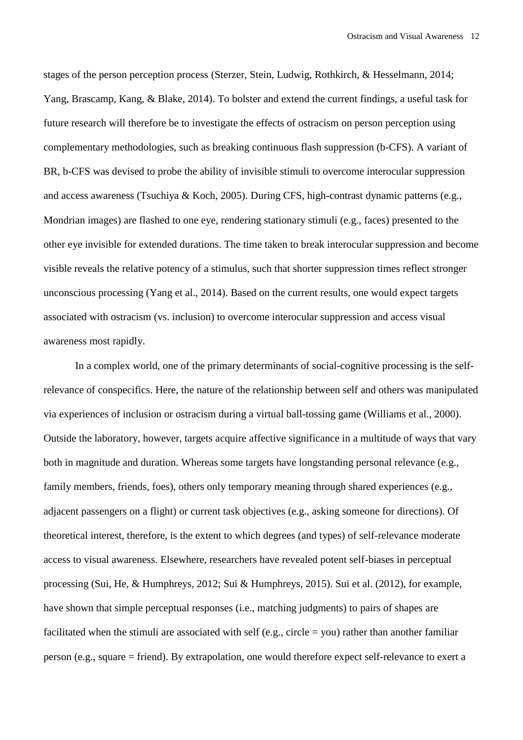stages of the person perception process (Sterzer, Stein, Ludwig, Rothkirch, & Hesselmann, 2014; Yang, Brascamp, Kang, & Blake, 2014). To bolster and extend the current findings, a useful task for future research will therefore be to investigate the effects of ostracism on person perception using complementary methodologies, such as breaking continuous flash suppression (b-CFS). A variant of BR, b-CFS was devised to probe the ability of invisible stimuli to overcome interocular suppression and access awareness (Tsuchiya & Koch, 2005). During CFS, high-contrast dynamic patterns (e.g., Mondrian images) are flashed to one eye, rendering stationary stimuli (e.g., faces) presented to the other eye invisible for extended durations. The time taken to break interocular suppression and become visible reveals the relative potency of a stimulus, such that shorter suppression times reflect stronger unconscious processing (Yang et al., 2014). Based on the current results, one would expect targets associated with ostracism (vs. inclusion) to overcome interocular suppression and access visual awareness most rapidly.

In a complex world, one of the primary determinants of social-cognitive processing is the selfrelevance of conspecifics. Here, the nature of the relationship between self and others was manipulated via experiences of inclusion or ostracism during a virtual ball-tossing game (Williams et al., 2000). Outside the laboratory, however, targets acquire affective significance in a multitude of ways that vary both in magnitude and duration. Whereas some targets have longstanding personal relevance (e.g., family members, friends, foes), others only temporary meaning through shared experiences (e.g., adjacent passengers on a flight) or current task objectives (e.g., asking someone for directions). Of theoretical interest, therefore, is the extent to which degrees (and types) of self-relevance moderate access to visual awareness. Elsewhere, researchers have revealed potent self-biases in perceptual processing (Sui, He, & Humphreys, 2012; Sui & Humphreys, 2015). Sui et al. (2012), for example, have shown that simple perceptual responses (i.e., matching judgments) to pairs of shapes are facilitated when the stimuli are associated with self (e.g., circle  $=$  you) rather than another familiar person (e.g., square = friend). By extrapolation, one would therefore expect self-relevance to exert a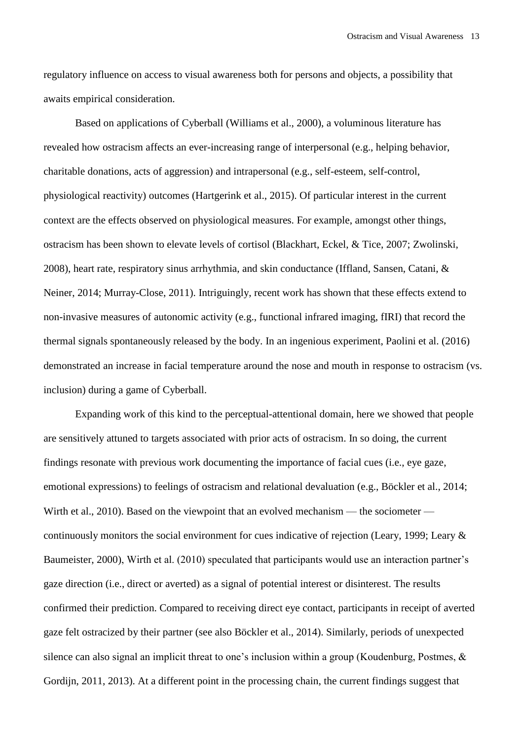regulatory influence on access to visual awareness both for persons and objects, a possibility that awaits empirical consideration.

Based on applications of Cyberball (Williams et al., 2000), a voluminous literature has revealed how ostracism affects an ever-increasing range of interpersonal (e.g., helping behavior, charitable donations, acts of aggression) and intrapersonal (e.g., self-esteem, self-control, physiological reactivity) outcomes (Hartgerink et al., 2015). Of particular interest in the current context are the effects observed on physiological measures. For example, amongst other things, ostracism has been shown to elevate levels of cortisol (Blackhart, Eckel, & Tice, 2007; Zwolinski, 2008), heart rate, respiratory sinus arrhythmia, and skin conductance (Iffland, Sansen, Catani,  $\&$ Neiner, 2014; Murray-Close, 2011). Intriguingly, recent work has shown that these effects extend to non-invasive measures of autonomic activity (e.g., functional infrared imaging, fIRI) that record the thermal signals spontaneously released by the body. In an ingenious experiment, Paolini et al. (2016) demonstrated an increase in facial temperature around the nose and mouth in response to ostracism (vs. inclusion) during a game of Cyberball.

Expanding work of this kind to the perceptual-attentional domain, here we showed that people are sensitively attuned to targets associated with prior acts of ostracism. In so doing, the current findings resonate with previous work documenting the importance of facial cues (i.e., eye gaze, emotional expressions) to feelings of ostracism and relational devaluation (e.g., Böckler et al., 2014; Wirth et al., 2010). Based on the viewpoint that an evolved mechanism — the sociometer continuously monitors the social environment for cues indicative of rejection (Leary, 1999; Leary & Baumeister, 2000), Wirth et al. (2010) speculated that participants would use an interaction partner's gaze direction (i.e., direct or averted) as a signal of potential interest or disinterest. The results confirmed their prediction. Compared to receiving direct eye contact, participants in receipt of averted gaze felt ostracized by their partner (see also Böckler et al., 2014). Similarly, periods of unexpected silence can also signal an implicit threat to one's inclusion within a group (Koudenburg, Postmes, & Gordijn, 2011, 2013). At a different point in the processing chain, the current findings suggest that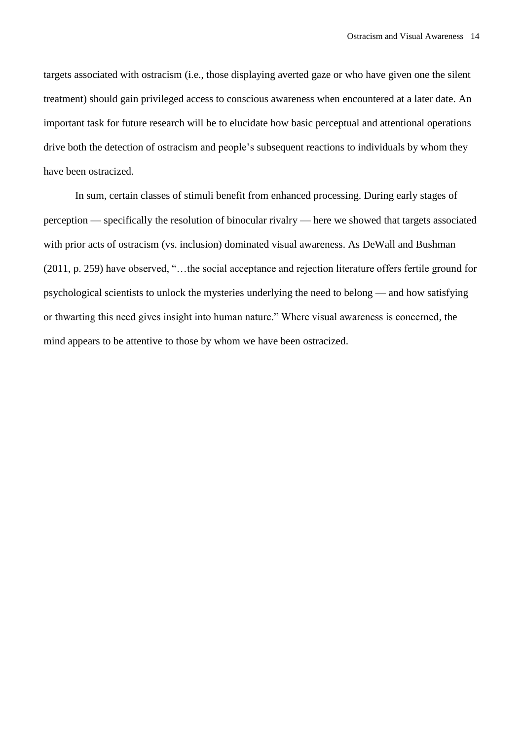targets associated with ostracism (i.e., those displaying averted gaze or who have given one the silent treatment) should gain privileged access to conscious awareness when encountered at a later date. An important task for future research will be to elucidate how basic perceptual and attentional operations drive both the detection of ostracism and people's subsequent reactions to individuals by whom they have been ostracized.

In sum, certain classes of stimuli benefit from enhanced processing. During early stages of perception — specifically the resolution of binocular rivalry — here we showed that targets associated with prior acts of ostracism (vs. inclusion) dominated visual awareness. As DeWall and Bushman (2011, p. 259) have observed, "…the social acceptance and rejection literature offers fertile ground for psychological scientists to unlock the mysteries underlying the need to belong — and how satisfying or thwarting this need gives insight into human nature." Where visual awareness is concerned, the mind appears to be attentive to those by whom we have been ostracized.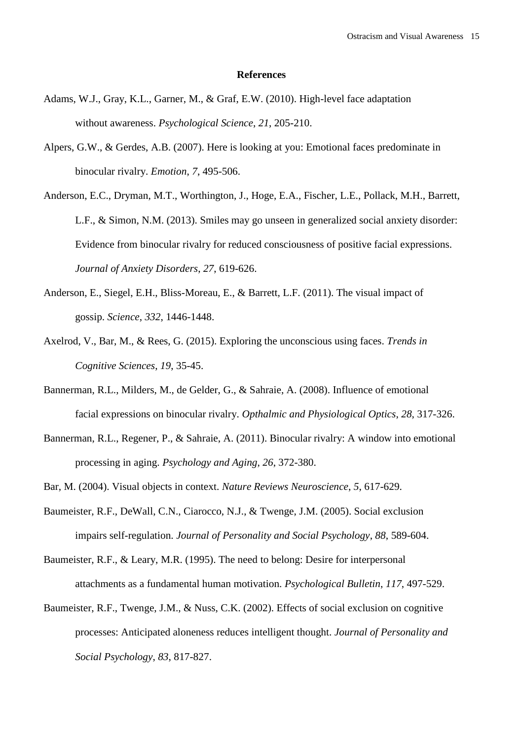#### **References**

- Adams, W.J., Gray, K.L., Garner, M., & Graf, E.W. (2010). High-level face adaptation without awareness. *Psychological Science*, *21*, 205-210.
- Alpers, G.W., & Gerdes, A.B. (2007). Here is looking at you: Emotional faces predominate in binocular rivalry. *Emotion*, *7*, 495-506.
- Anderson, E.C., Dryman, M.T., Worthington, J., Hoge, E.A., Fischer, L.E., Pollack, M.H., Barrett, L.F., & Simon, N.M. (2013). Smiles may go unseen in generalized social anxiety disorder: Evidence from binocular rivalry for reduced consciousness of positive facial expressions. *Journal of Anxiety Disorders*, *27*, 619-626.
- Anderson, E., Siegel, E.H., Bliss-Moreau, E., & Barrett, L.F. (2011). The visual impact of gossip. *Science*, *332*, 1446-1448.
- Axelrod, V., Bar, M., & Rees, G. (2015). Exploring the unconscious using faces. *Trends in Cognitive Sciences*, *19*, 35-45.
- Bannerman, R.L., Milders, M., de Gelder, G., & Sahraie, A. (2008). Influence of emotional facial expressions on binocular rivalry. *Opthalmic and Physiological Optics*, *28*, 317-326.
- Bannerman, R.L., Regener, P., & Sahraie, A. (2011). Binocular rivalry: A window into emotional processing in aging. *Psychology and Aging*, *26*, 372-380.
- Bar, M. (2004). Visual objects in context. *Nature Reviews Neuroscience*, *5*, 617-629.
- Baumeister, R.F., DeWall, C.N., Ciarocco, N.J., & Twenge, J.M. (2005). Social exclusion impairs self-regulation. *Journal of Personality and Social Psychology*, *88*, 589-604.
- Baumeister, R.F., & Leary, M.R. (1995). The need to belong: Desire for interpersonal attachments as a fundamental human motivation. *Psychological Bulletin*, *117*, 497-529.
- Baumeister, R.F., Twenge, J.M., & Nuss, C.K. (2002). Effects of social exclusion on cognitive processes: Anticipated aloneness reduces intelligent thought. *Journal of Personality and Social Psychology*, *83*, 817-827.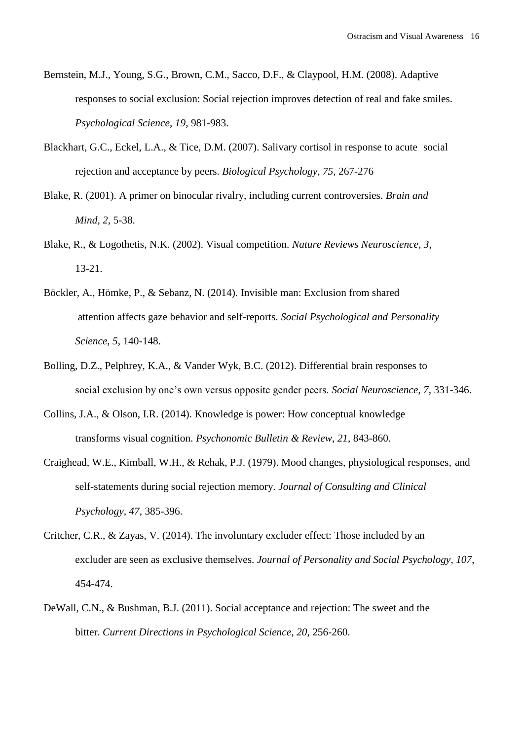- Bernstein, M.J., Young, S.G., Brown, C.M., Sacco, D.F., & Claypool, H.M. (2008). Adaptive responses to social exclusion: Social rejection improves detection of real and fake smiles. *Psychological Science*, *19*, 981-983.
- Blackhart, G.C., Eckel, L.A., & Tice, D.M. (2007). Salivary cortisol in response to acute social rejection and acceptance by peers. *Biological Psychology*, *75*, 267-276
- Blake, R. (2001). A primer on binocular rivalry, including current controversies. *Brain and Mind*, *2*, 5-38.
- Blake, R., & Logothetis, N.K. (2002). Visual competition. *Nature Reviews Neuroscience*, *3*, 13-21.
- Böckler, A., Hömke, P., & Sebanz, N. (2014). Invisible man: Exclusion from shared attention affects gaze behavior and self-reports. *Social Psychological and Personality Science*, *5*, 140-148.
- Bolling, D.Z., Pelphrey, K.A., & Vander Wyk, B.C. (2012). Differential brain responses to social exclusion by one's own versus opposite gender peers. *Social Neuroscience*, *7*, 331-346.
- Collins, J.A., & Olson, I.R. (2014). Knowledge is power: How conceptual knowledge transforms visual cognition. *Psychonomic Bulletin & Review*, *21*, 843-860.
- Craighead, W.E., Kimball, W.H., & Rehak, P.J. (1979). Mood changes, physiological responses, and self-statements during social rejection memory. *Journal of Consulting and Clinical Psychology*, *47*, 385-396.
- Critcher, C.R., & Zayas, V. (2014). The involuntary excluder effect: Those included by an excluder are seen as exclusive themselves. *Journal of Personality and Social Psychology*, *107*, 454-474.
- DeWall, C.N., & Bushman, B.J. (2011). Social acceptance and rejection: The sweet and the bitter. *Current Directions in Psychological Science*, *20*, 256-260.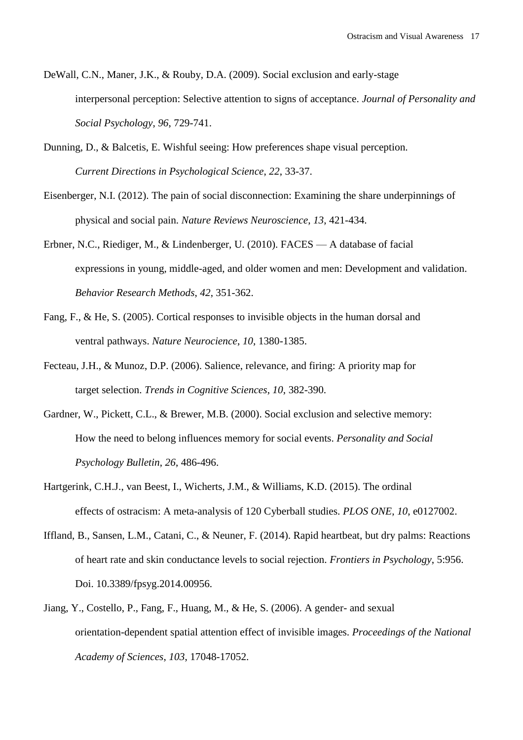- DeWall, C.N., Maner, J.K., & Rouby, D.A. (2009). Social exclusion and early-stage interpersonal perception: Selective attention to signs of acceptance. *Journal of Personality and Social Psychology*, *96*, 729-741.
- Dunning, D., & Balcetis, E. Wishful seeing: How preferences shape visual perception. *Current Directions in Psychological Science*, *22*, 33-37.
- Eisenberger, N.I. (2012). The pain of social disconnection: Examining the share underpinnings of physical and social pain. *Nature Reviews Neuroscience*, *13*, 421-434.
- Erbner, N.C., Riediger, M., & Lindenberger, U. (2010). FACES A database of facial expressions in young, middle-aged, and older women and men: Development and validation. *Behavior Research Methods*, *42*, 351-362.
- Fang, F., & He, S. (2005). Cortical responses to invisible objects in the human dorsal and ventral pathways. *Nature Neurocience*, *10*, 1380-1385.
- Fecteau, J.H., & Munoz, D.P. (2006). Salience, relevance, and firing: A priority map for target selection. *Trends in Cognitive Sciences*, *10*, 382-390.
- Gardner, W., Pickett, C.L., & Brewer, M.B. (2000). Social exclusion and selective memory: How the need to belong influences memory for social events. *Personality and Social Psychology Bulletin*, *26*, 486-496.
- Hartgerink, C.H.J., van Beest, I., Wicherts, J.M., & Williams, K.D. (2015). The ordinal effects of ostracism: A meta-analysis of 120 Cyberball studies. *PLOS ONE*, *10*, e0127002.
- Iffland, B., Sansen, L.M., Catani, C., & Neuner, F. (2014). Rapid heartbeat, but dry palms: Reactions of heart rate and skin conductance levels to social rejection. *Frontiers in Psychology*, 5:956. Doi. 10.3389/fpsyg.2014.00956.
- Jiang, Y., Costello, P., Fang, F., Huang, M., & He, S. (2006). A gender- and sexual orientation-dependent spatial attention effect of invisible images. *Proceedings of the National Academy of Sciences*, *103*, 17048-17052.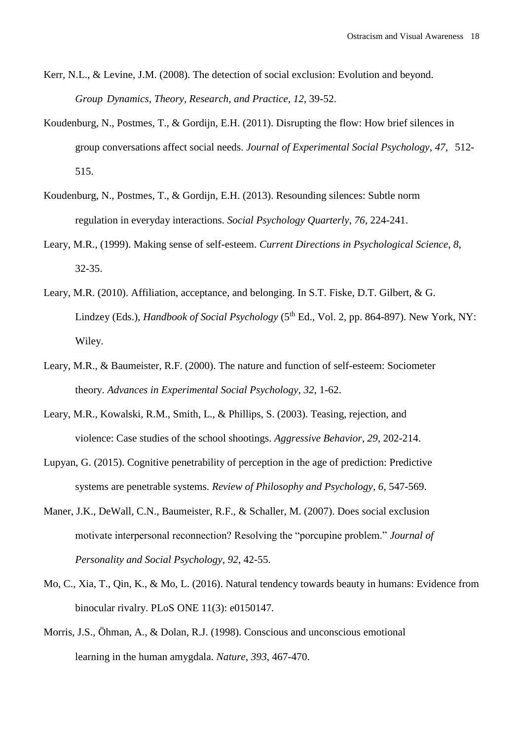- Kerr, N.L., & Levine, J.M. (2008). The detection of social exclusion: Evolution and beyond. *Group Dynamics, Theory, Research, and Practice*, *12*, 39-52.
- Koudenburg, N., Postmes, T., & Gordijn, E.H. (2011). Disrupting the flow: How brief silences in group conversations affect social needs. *Journal of Experimental Social Psychology*, *47*, 512- 515.
- Koudenburg, N., Postmes, T., & Gordijn, E.H. (2013). Resounding silences: Subtle norm regulation in everyday interactions. *Social Psychology Quarterly*, *76*, 224-241.
- Leary, M.R., (1999). Making sense of self-esteem. *Current Directions in Psychological Science*, *8*, 32-35.
- Leary, M.R. (2010). Affiliation, acceptance, and belonging. In S.T. Fiske, D.T. Gilbert, & G. Lindzey (Eds.), *Handbook of Social Psychology* (5<sup>th</sup> Ed., Vol. 2, pp. 864-897). New York, NY: Wiley.
- Leary, M.R., & Baumeister, R.F. (2000). The nature and function of self-esteem: Sociometer theory. *Advances in Experimental Social Psychology*, *32*, 1-62.
- Leary, M.R., Kowalski, R.M., Smith, L., & Phillips, S. (2003). Teasing, rejection, and violence: Case studies of the school shootings. *Aggressive Behavior*, *29*, 202-214.
- Lupyan, G. (2015). Cognitive penetrability of perception in the age of prediction: Predictive systems are penetrable systems. *Review of Philosophy and Psychology*, *6*, 547-569.
- Maner, J.K., DeWall, C.N., Baumeister, R.F., & Schaller, M. (2007). Does social exclusion motivate interpersonal reconnection? Resolving the "porcupine problem." *Journal of Personality and Social Psychology*, *92*, 42-55.
- Mo, C., Xia, T., Qin, K., & Mo, L. (2016). Natural tendency towards beauty in humans: Evidence from binocular rivalry. PLoS ONE 11(3): e0150147.
- Morris, J.S., Öhman, A., & Dolan, R.J. (1998). Conscious and unconscious emotional learning in the human amygdala. *Nature*, *393*, 467-470.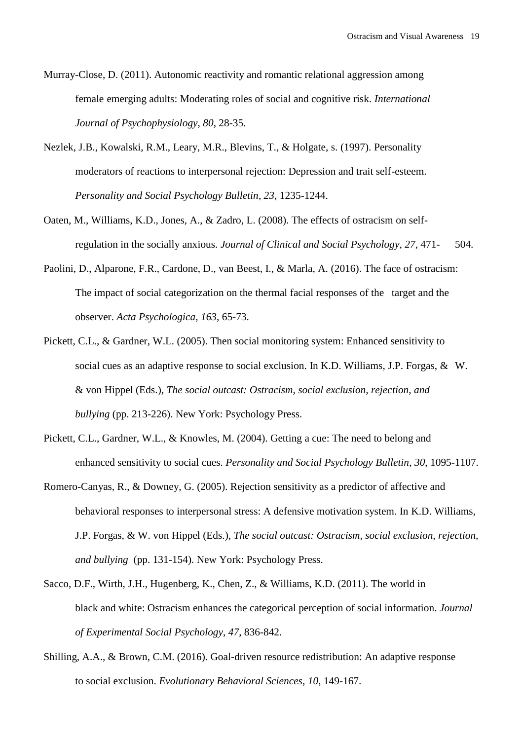- Murray-Close, D. (2011). Autonomic reactivity and romantic relational aggression among female emerging adults: Moderating roles of social and cognitive risk. *International Journal of Psychophysiology*, *80*, 28-35.
- Nezlek, J.B., Kowalski, R.M., Leary, M.R., Blevins, T., & Holgate, s. (1997). Personality moderators of reactions to interpersonal rejection: Depression and trait self-esteem. *Personality and Social Psychology Bulletin*, *23*, 1235-1244.
- Oaten, M., Williams, K.D., Jones, A., & Zadro, L. (2008). The effects of ostracism on selfregulation in the socially anxious. *Journal of Clinical and Social Psychology*, *27*, 471- 504.
- Paolini, D., Alparone, F.R., Cardone, D., van Beest, I., & Marla, A. (2016). The face of ostracism: The impact of social categorization on the thermal facial responses of the target and the observer. *Acta Psychologica*, *163*, 65-73.
- Pickett, C.L., & Gardner, W.L. (2005). Then social monitoring system: Enhanced sensitivity to social cues as an adaptive response to social exclusion. In K.D. Williams, J.P. Forgas, & W. & von Hippel (Eds.), *The social outcast: Ostracism, social exclusion, rejection, and bullying* (pp. 213-226). New York: Psychology Press.
- Pickett, C.L., Gardner, W.L., & Knowles, M. (2004). Getting a cue: The need to belong and enhanced sensitivity to social cues. *Personality and Social Psychology Bulletin*, *30*, 1095-1107.
- Romero-Canyas, R., & Downey, G. (2005). Rejection sensitivity as a predictor of affective and behavioral responses to interpersonal stress: A defensive motivation system. In K.D. Williams, J.P. Forgas, & W. von Hippel (Eds.), *The social outcast: Ostracism, social exclusion, rejection, and bullying* (pp. 131-154). New York: Psychology Press.
- Sacco, D.F., Wirth, J.H., Hugenberg, K., Chen, Z., & Williams, K.D. (2011). The world in black and white: Ostracism enhances the categorical perception of social information. *Journal of Experimental Social Psychology*, *47*, 836-842.
- Shilling, A.A., & Brown, C.M. (2016). Goal-driven resource redistribution: An adaptive response to social exclusion. *Evolutionary Behavioral Sciences*, *10*, 149-167.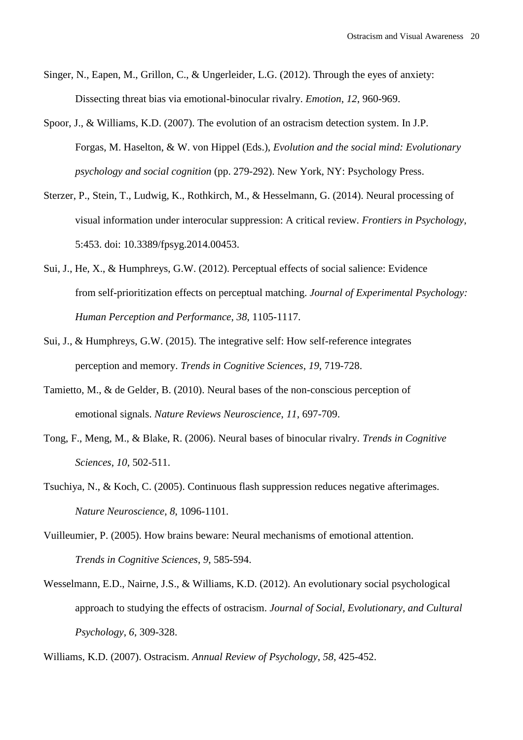- Singer, N., Eapen, M., Grillon, C., & Ungerleider, L.G. (2012). Through the eyes of anxiety: Dissecting threat bias via emotional-binocular rivalry. *Emotion*, *12*, 960-969.
- Spoor, J., & Williams, K.D. (2007). The evolution of an ostracism detection system. In J.P. Forgas, M. Haselton, & W. von Hippel (Eds.), *Evolution and the social mind: Evolutionary psychology and social cognition* (pp. 279-292). New York, NY: Psychology Press.
- Sterzer, P., Stein, T., Ludwig, K., Rothkirch, M., & Hesselmann, G. (2014). Neural processing of visual information under interocular suppression: A critical review. *Frontiers in Psychology*, 5:453. doi: 10.3389/fpsyg.2014.00453.
- Sui, J., He, X., & Humphreys, G.W. (2012). Perceptual effects of social salience: Evidence from self-prioritization effects on perceptual matching. *Journal of Experimental Psychology: Human Perception and Performance*, *38*, 1105-1117.
- Sui, J., & Humphreys, G.W. (2015). The integrative self: How self-reference integrates perception and memory. *Trends in Cognitive Sciences*, *19*, 719-728.
- Tamietto, M., & de Gelder, B. (2010). Neural bases of the non-conscious perception of emotional signals. *Nature Reviews Neuroscience*, *11*, 697-709.
- Tong, F., Meng, M., & Blake, R. (2006). Neural bases of binocular rivalry. *Trends in Cognitive Sciences*, *10*, 502-511.
- Tsuchiya, N., & Koch, C. (2005). Continuous flash suppression reduces negative afterimages. *Nature Neuroscience*, *8*, 1096-1101.
- Vuilleumier, P. (2005). How brains beware: Neural mechanisms of emotional attention. *Trends in Cognitive Sciences*, *9*, 585-594.
- Wesselmann, E.D., Nairne, J.S., & Williams, K.D. (2012). An evolutionary social psychological approach to studying the effects of ostracism. *Journal of Social, Evolutionary, and Cultural Psychology*, *6*, 309-328.

Williams, K.D. (2007). Ostracism. *Annual Review of Psychology*, *58*, 425-452.